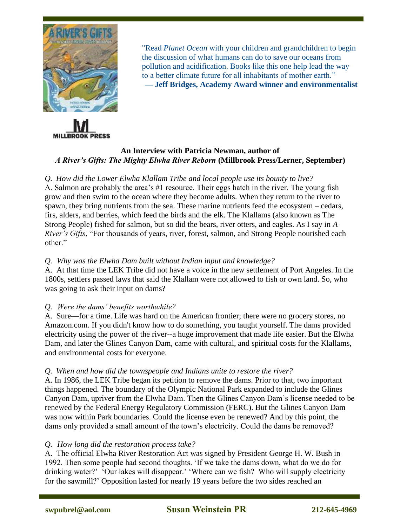



"Read *Planet Ocean* with your children and grandchildren to begin the discussion of what humans can do to save our oceans from pollution and acidification. Books like this one help lead the way to a better climate future for all inhabitants of mother earth." **— Jeff Bridges, Academy Award winner and environmentalist**

# **An Interview with Patricia Newman, author of**  *A River's Gifts: The Mighty Elwha River Reborn* **(Millbrook Press/Lerner, September)**

# *Q. How did the Lower Elwha Klallam Tribe and local people use its bounty to live?*

A. Salmon are probably the area's #1 resource. Their eggs hatch in the river. The young fish grow and then swim to the ocean where they become adults. When they return to the river to spawn, they bring nutrients from the sea. These marine nutrients feed the ecosystem – cedars, firs, alders, and berries, which feed the birds and the elk. The Klallams (also known as The Strong People) fished for salmon, but so did the bears, river otters, and eagles. As I say in *A River's Gifts*, "For thousands of years, river, forest, salmon, and Strong People nourished each other."

## *Q. Why was the Elwha Dam built without Indian input and knowledge?*

A. At that time the LEK Tribe did not have a voice in the new settlement of Port Angeles. In the 1800s, settlers passed laws that said the Klallam were not allowed to fish or own land. So, who was going to ask their input on dams?

# *Q. Were the dams' benefits worthwhile?*

A. Sure—for a time. Life was hard on the American frontier; there were no grocery stores, no Amazon.com. If you didn't know how to do something, you taught yourself. The dams provided electricity using the power of the river--a huge improvement that made life easier. But the Elwha Dam, and later the Glines Canyon Dam, came with cultural, and spiritual costs for the Klallams, and environmental costs for everyone.

#### *Q. When and how did the townspeople and Indians unite to restore the river?*

A. In 1986, the LEK Tribe began its petition to remove the dams. Prior to that, two important things happened. The boundary of the Olympic National Park expanded to include the Glines Canyon Dam, upriver from the Elwha Dam. Then the Glines Canyon Dam's license needed to be renewed by the Federal Energy Regulatory Commission (FERC). But the Glines Canyon Dam was now within Park boundaries. Could the license even be renewed? And by this point, the dams only provided a small amount of the town's electricity. Could the dams be removed?

#### *Q. How long did the restoration process take?*

A. The official Elwha River Restoration Act was signed by President George H. W. Bush in 1992. Then some people had second thoughts. 'If we take the dams down, what do we do for drinking water?' 'Our lakes will disappear.' 'Where can we fish? Who will supply electricity for the sawmill?' Opposition lasted for nearly 19 years before the two sides reached an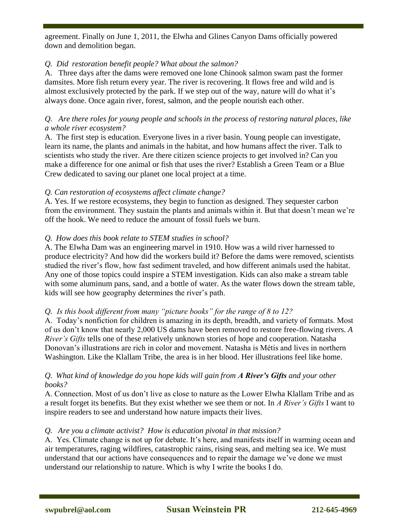agreement. Finally on June 1, 2011, the Elwha and Glines Canyon Dams officially powered down and demolition began.

 $\overline{a}$ 

## *Q. Did restoration benefit people? What about the salmon?*

A. Three days after the dams were removed one lone Chinook salmon swam past the former damsites. More fish return every year. The river is recovering. It flows free and wild and is almost exclusively protected by the park. If we step out of the way, nature will do what it's always done. Once again river, forest, salmon, and the people nourish each other.

## *Q. Are there roles for young people and schools in the process of restoring natural places, like a whole river ecosystem?*

A. The first step is education. Everyone lives in a river basin. Young people can investigate, learn its name, the plants and animals in the habitat, and how humans affect the river. Talk to scientists who study the river. Are there citizen science projects to get involved in? Can you make a difference for one animal or fish that uses the river? Establish a Green Team or a Blue Crew dedicated to saving our planet one local project at a time.

### *Q. Can restoration of ecosystems affect climate change?*

A. Yes. If we restore ecosystems, they begin to function as designed. They sequester carbon from the environment. They sustain the plants and animals within it. But that doesn't mean we're off the hook. We need to reduce the amount of fossil fuels we burn.

### *Q. How does this book relate to STEM studies in school?*

A. The Elwha Dam was an engineering marvel in 1910. How was a wild river harnessed to produce electricity? And how did the workers build it? Before the dams were removed, scientists studied the river's flow, how fast sediment traveled, and how different animals used the habitat. Any one of those topics could inspire a STEM investigation. Kids can also make a stream table with some aluminum pans, sand, and a bottle of water. As the water flows down the stream table, kids will see how geography determines the river's path.

# *Q. Is this book different from many "picture books" for the range of 8 to 12?*

A. Today's nonfiction for children is amazing in its depth, breadth, and variety of formats. Most of us don't know that nearly 2,000 US dams have been removed to restore free-flowing rivers. *A River's Gifts* tells one of these relatively unknown stories of hope and cooperation. Natasha Donovan's illustrations are rich in color and movement. Natasha is Métis and lives in northern Washington. Like the Klallam Tribe, the area is in her blood. Her illustrations feel like home.

### *Q. What kind of knowledge do you hope kids will gain from A River's Gifts and your other books?*

A. Connection. Most of us don't live as close to nature as the Lower Elwha Klallam Tribe and as a result forget its benefits. But they exist whether we see them or not. In *A River's Gifts* I want to inspire readers to see and understand how nature impacts their lives.

#### *Q. Are you a climate activist? How is education pivotal in that mission?*

A. Yes. Climate change is not up for debate. It's here, and manifests itself in warming ocean and air temperatures, raging wildfires, catastrophic rains, rising seas, and melting sea ice. We must understand that our actions have consequences and to repair the damage we've done we must understand our relationship to nature. Which is why I write the books I do.